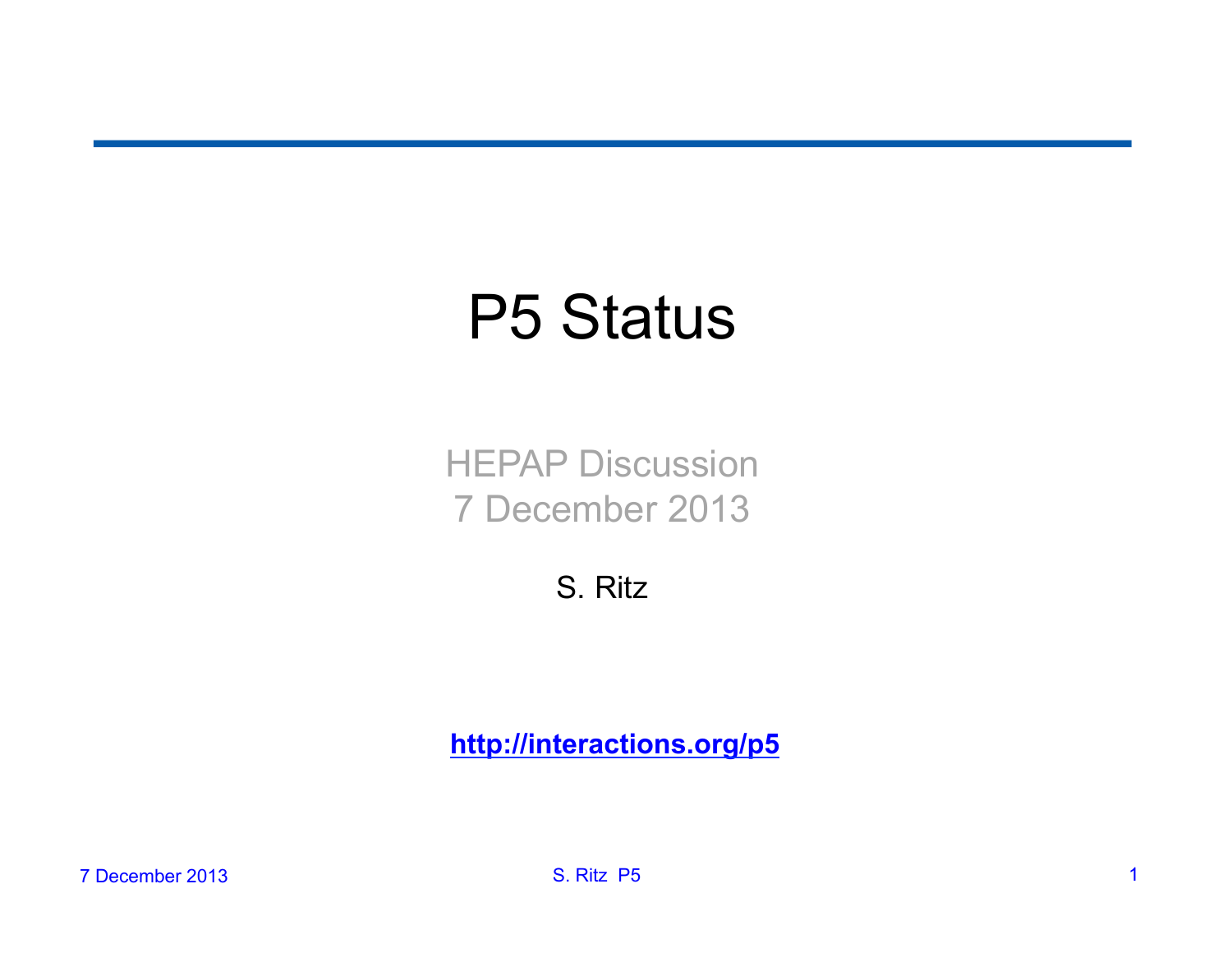# P5 Status

HEPAP Discussion 7 December 2013

S. Ritz

**http://interactions.org/p5**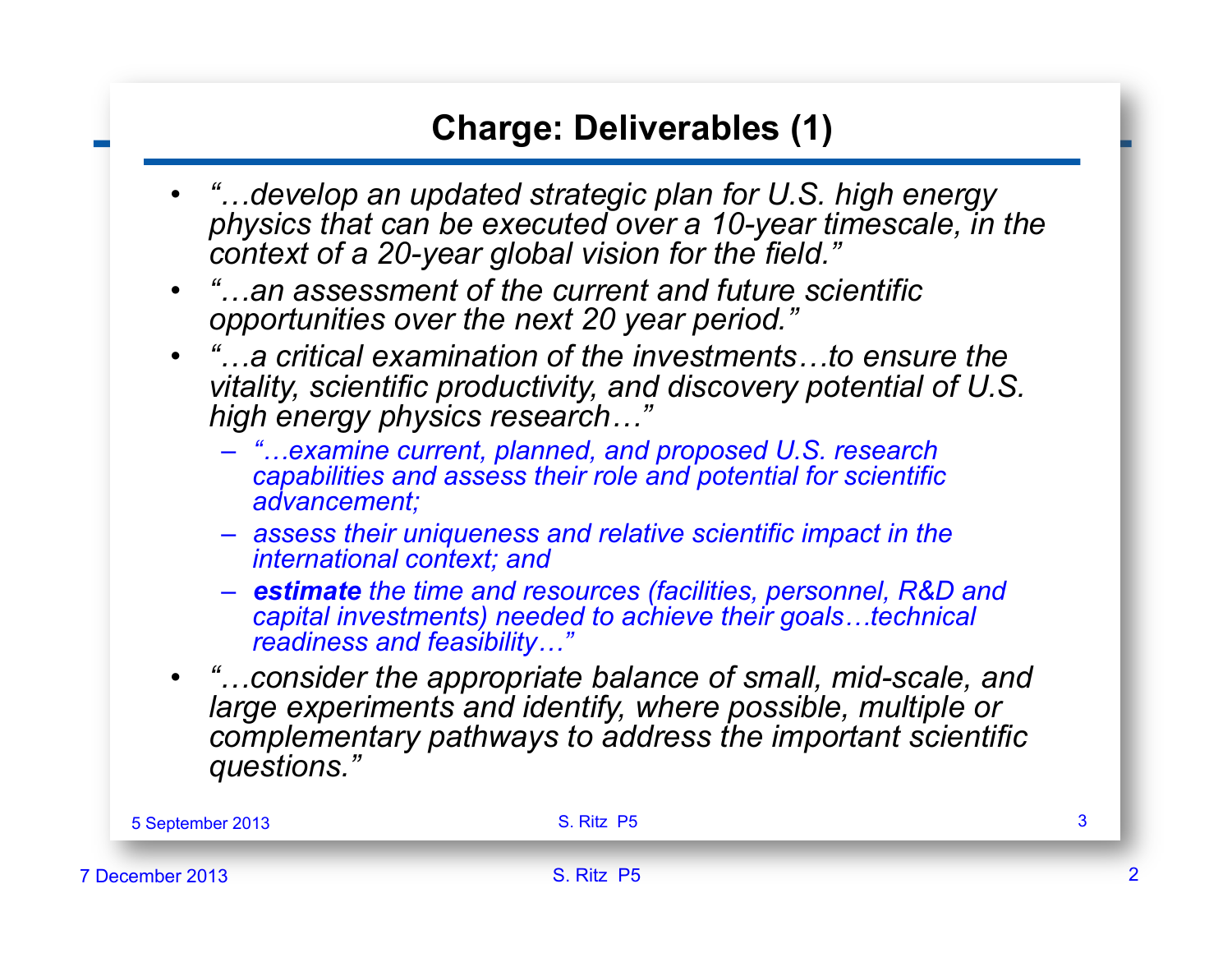#### **Charge: Deliverables (1)**

- *"…develop an updated strategic plan for U.S. high energy physics that can be executed over a 10-year timescale, in the context of a 20-year global vision for the field."*
- *"…an assessment of the current and future scientific opportunities over the next 20 year period."*
- *"…a critical examination of the investments…to ensure the vitality, scientific productivity, and discovery potential of U.S. high energy physics research…"* 
	- *"…examine current, planned, and proposed U.S. research capabilities and assess their role and potential for scientific advancement;*
	- *assess their uniqueness and relative scientific impact in the international context; and*
	- *estimate the time and resources (facilities, personnel, R&D and capital investments) needed to achieve their goals…technical readiness and feasibility…"*
- *"…consider the appropriate balance of small, mid-scale, and large experiments and identify, where possible, multiple or complementary pathways to address the important scientific questions."*

| 5 September 2013 | S. Ritz P5 |  |
|------------------|------------|--|
| 7 December 2013  | S. Ritz P5 |  |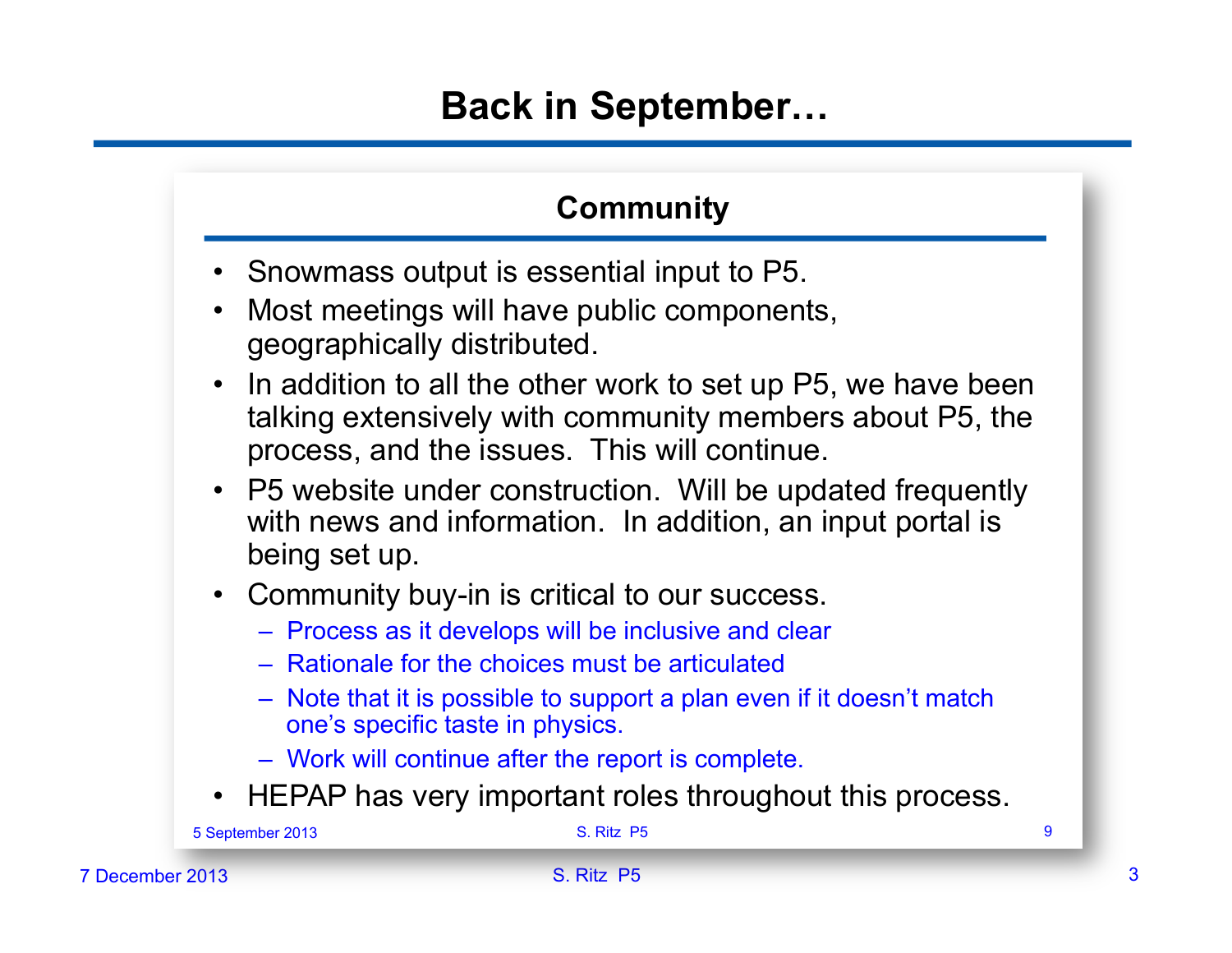## **Back in September…**

#### **Community**

- Snowmass output is essential input to P5.
- Most meetings will have public components, geographically distributed.
- In addition to all the other work to set up P5, we have been talking extensively with community members about P5, the process, and the issues. This will continue.
- P5 website under construction. Will be updated frequently with news and information. In addition, an input portal is being set up.
- Community buy-in is critical to our success.
	- Process as it develops will be inclusive and clear
	- Rationale for the choices must be articulated
	- Note that it is possible to support a plan even if it doesn't match one's specific taste in physics.
	- Work will continue after the report is complete.
- HEPAP has very important roles throughout this process.

|                 | 5 September 2013 | S. Ritz P5 |  |  |
|-----------------|------------------|------------|--|--|
| 7 December 2013 |                  | S. Ritz P5 |  |  |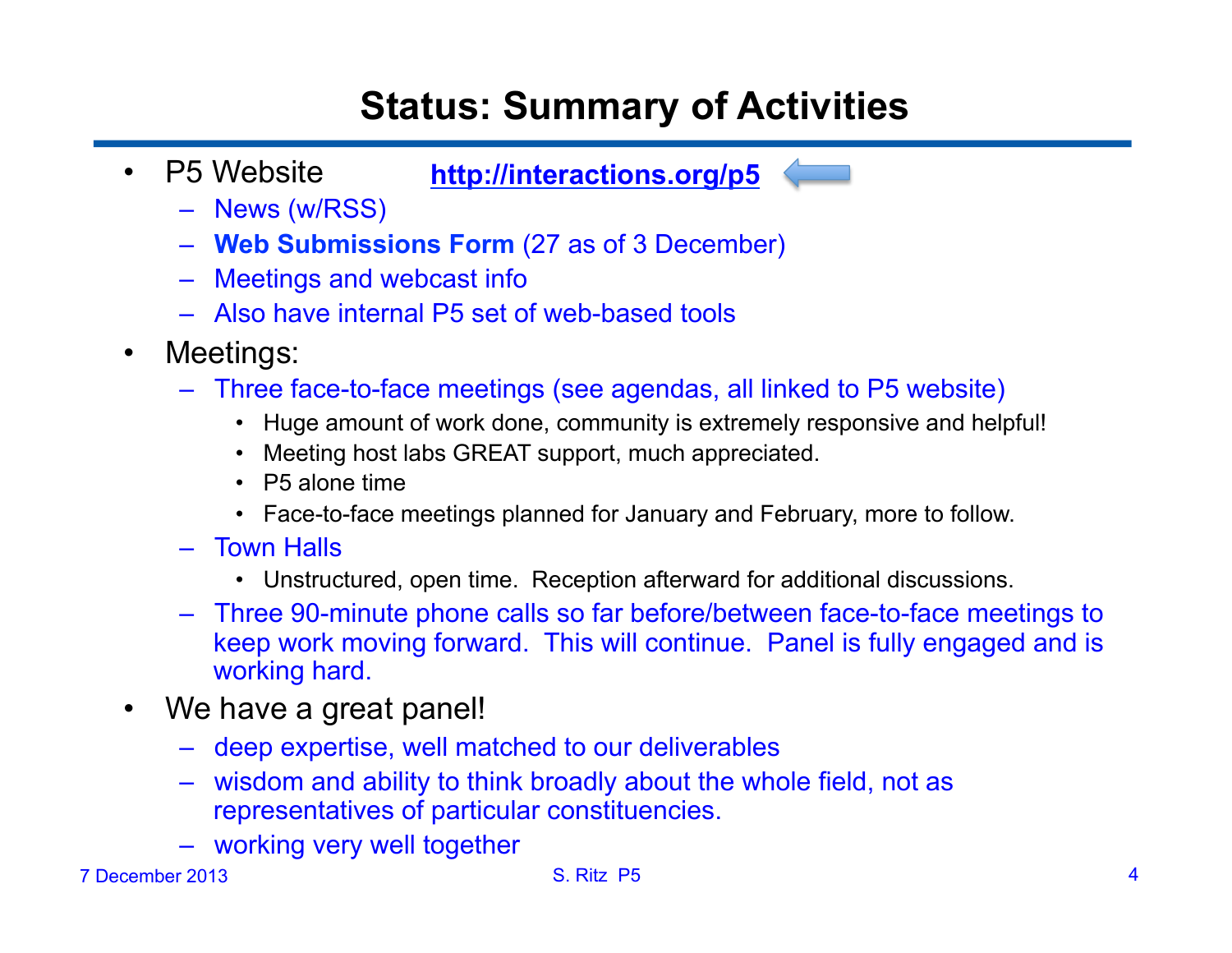# **Status: Summary of Activities**

• P5 Website

**http://interactions.org/p5** 

- News (w/RSS)
- **Web Submissions Form** (27 as of 3 December)
- Meetings and webcast info
- Also have internal P5 set of web-based tools
- Meetings:
	- Three face-to-face meetings (see agendas, all linked to P5 website)
		- Huge amount of work done, community is extremely responsive and helpful!
		- Meeting host labs GREAT support, much appreciated.
		- P5 alone time
		- Face-to-face meetings planned for January and February, more to follow.
	- Town Halls
		- Unstructured, open time. Reception afterward for additional discussions.
	- Three 90-minute phone calls so far before/between face-to-face meetings to keep work moving forward. This will continue. Panel is fully engaged and is working hard.
- We have a great panel!
	- deep expertise, well matched to our deliverables
	- wisdom and ability to think broadly about the whole field, not as representatives of particular constituencies.
	- working very well together

#### 7 December 2013 S. Ritz P5 4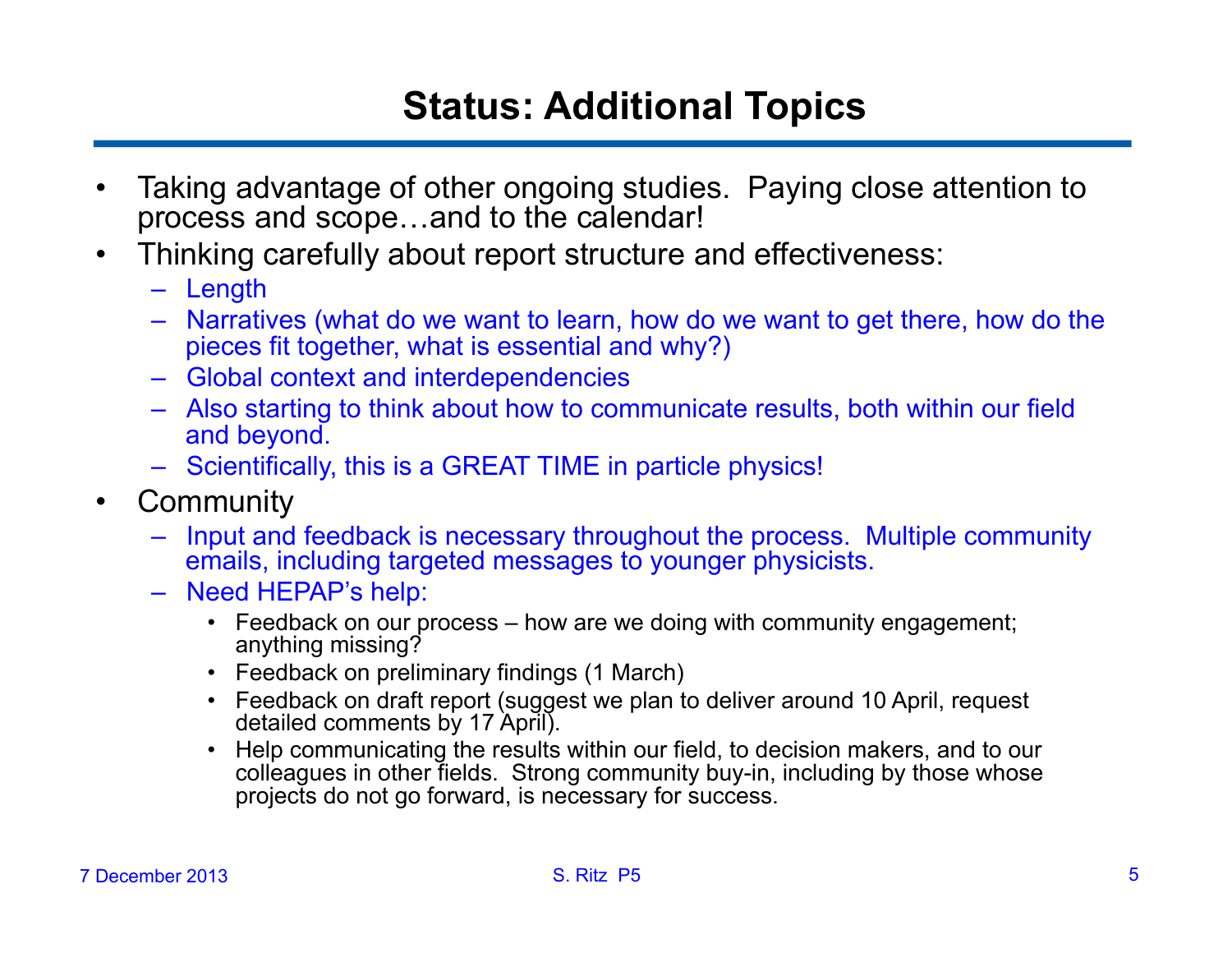# **Status: Additional Topics**

- Taking advantage of other ongoing studies. Paying close attention to process and scope…and to the calendar!
- Thinking carefully about report structure and effectiveness:
	- Length
	- Narratives (what do we want to learn, how do we want to get there, how do the pieces fit together, what is essential and why?)
	- Global context and interdependencies
	- Also starting to think about how to communicate results, both within our field and beyond.
	- Scientifically, this is a GREAT TIME in particle physics!
- Community
	- Input and feedback is necessary throughout the process. Multiple community emails, including targeted messages to younger physicists.
	- Need HEPAP's help:
		- Feedback on our process how are we doing with community engagement; anything missing?
		- Feedback on preliminary findings (1 March)
		- Feedback on draft report (suggest we plan to deliver around 10 April, request detailed comments by 17 April).
		- Help communicating the results within our field, to decision makers, and to our colleagues in other fields. Strong community buy-in, including by those whose projects do not go forward, is necessary for success.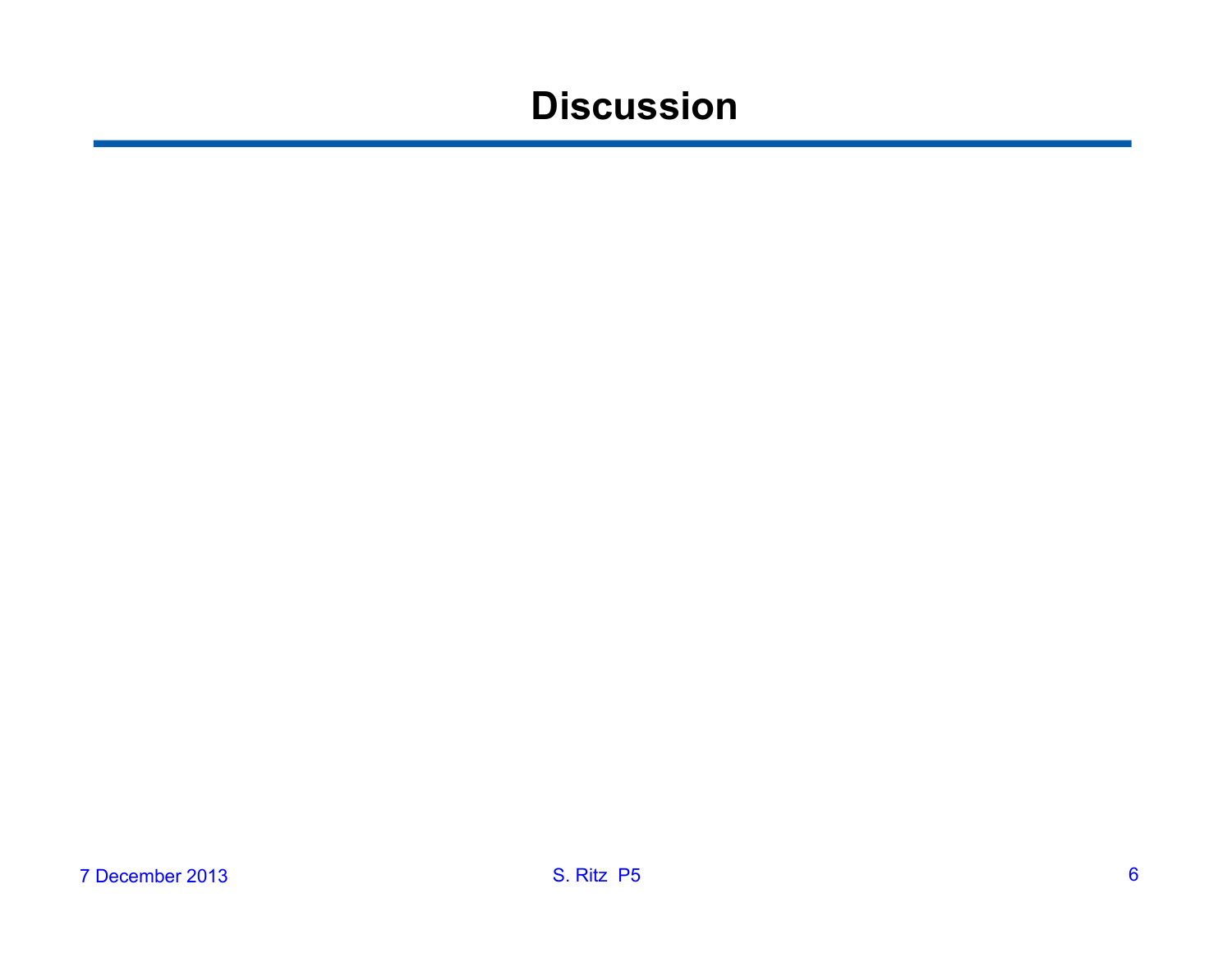### **Discussion**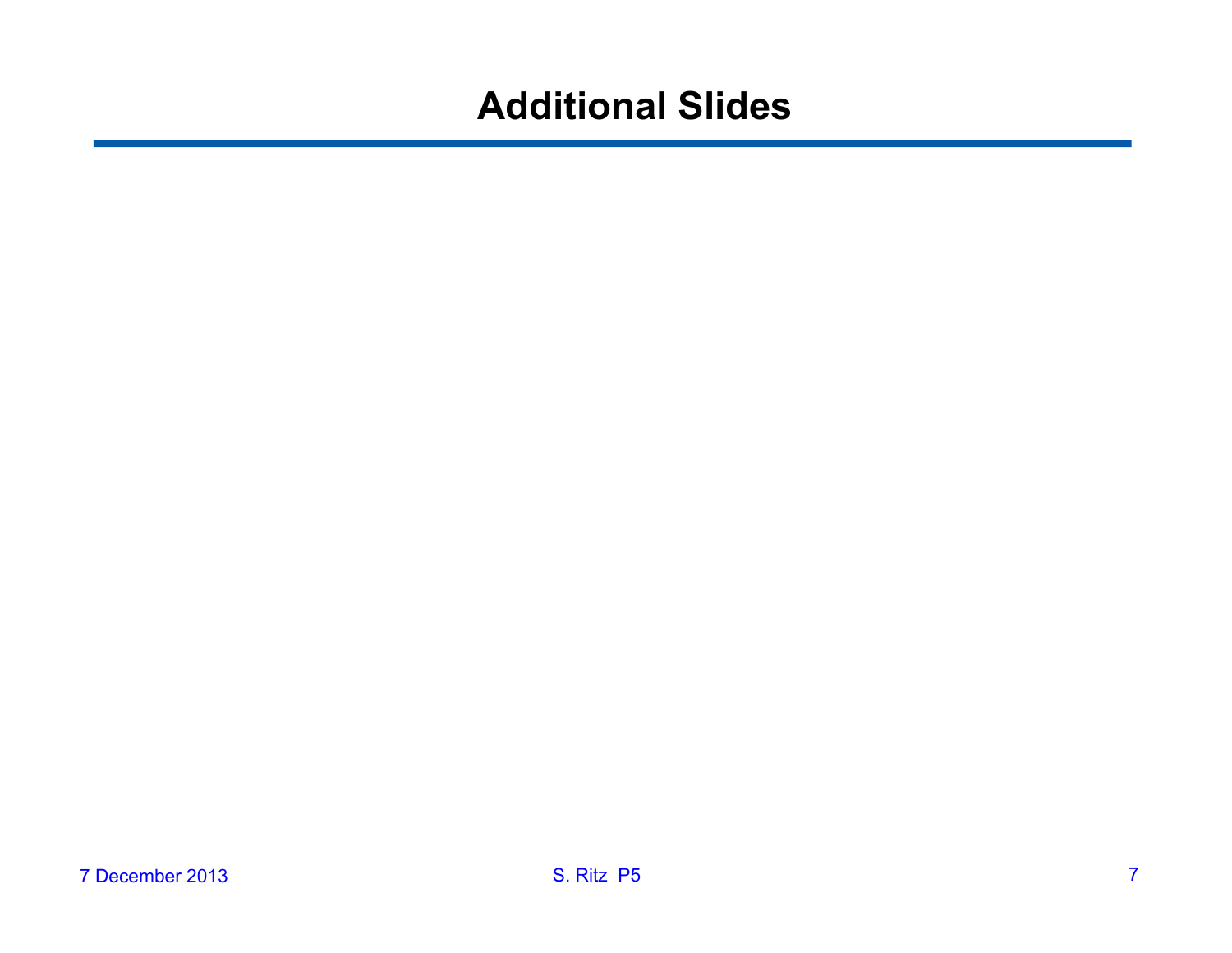#### **Additional Slides**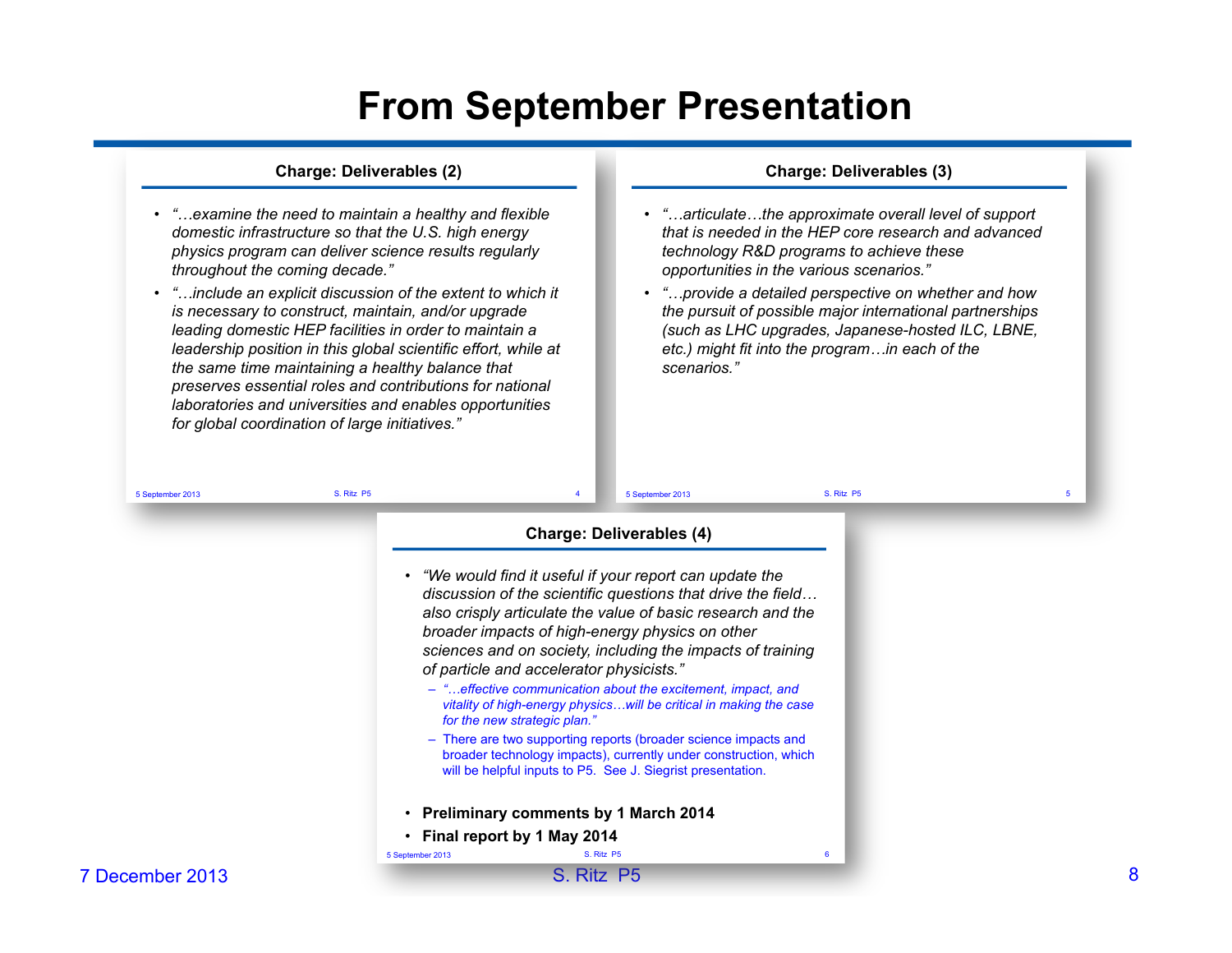#### **From September Presentation**

#### **Charge: Deliverables (2)**

- *"…examine the need to maintain a healthy and flexible domestic infrastructure so that the U.S. high energy physics program can deliver science results regularly throughout the coming decade."*
- *"…include an explicit discussion of the extent to which it is necessary to construct, maintain, and/or upgrade leading domestic HEP facilities in order to maintain a leadership position in this global scientific effort, while at the same time maintaining a healthy balance that preserves essential roles and contributions for national laboratories and universities and enables opportunities for global coordination of large initiatives."*

#### **Charge: Deliverables (3)**

- *"…articulate…the approximate overall level of support that is needed in the HEP core research and advanced technology R&D programs to achieve these opportunities in the various scenarios."*
- *"…provide a detailed perspective on whether and how the pursuit of possible major international partnerships (such as LHC upgrades, Japanese-hosted ILC, LBNE, etc.) might fit into the program…in each of the scenarios."*

| 5 September 2013 | S. Ritz P5       | 5 September 2013                                                                                                                                                                                                                                                                                                                                                                                                                                                                                                          | S. Ritz P5 | 5 |
|------------------|------------------|---------------------------------------------------------------------------------------------------------------------------------------------------------------------------------------------------------------------------------------------------------------------------------------------------------------------------------------------------------------------------------------------------------------------------------------------------------------------------------------------------------------------------|------------|---|
|                  |                  | <b>Charge: Deliverables (4)</b>                                                                                                                                                                                                                                                                                                                                                                                                                                                                                           |            |   |
|                  |                  | • "We would find it useful if your report can update the<br>discussion of the scientific questions that drive the field<br>also crisply articulate the value of basic research and the<br>broader impacts of high-energy physics on other<br>sciences and on society, including the impacts of training<br>of particle and accelerator physicists."<br>- "effective communication about the excitement, impact, and<br>vitality of high-energy physicswill be critical in making the case<br>for the new strategic plan." |            |   |
|                  |                  | - There are two supporting reports (broader science impacts and<br>broader technology impacts), currently under construction, which<br>will be helpful inputs to P5. See J. Siegrist presentation.                                                                                                                                                                                                                                                                                                                        |            |   |
|                  |                  | • Preliminary comments by 1 March 2014                                                                                                                                                                                                                                                                                                                                                                                                                                                                                    |            |   |
|                  |                  | • Final report by 1 May 2014                                                                                                                                                                                                                                                                                                                                                                                                                                                                                              |            |   |
|                  | 5 September 2013 | S. Ritz P5                                                                                                                                                                                                                                                                                                                                                                                                                                                                                                                | 6          |   |
| 7 December 2013  |                  | S.<br>Ritz P5                                                                                                                                                                                                                                                                                                                                                                                                                                                                                                             |            |   |